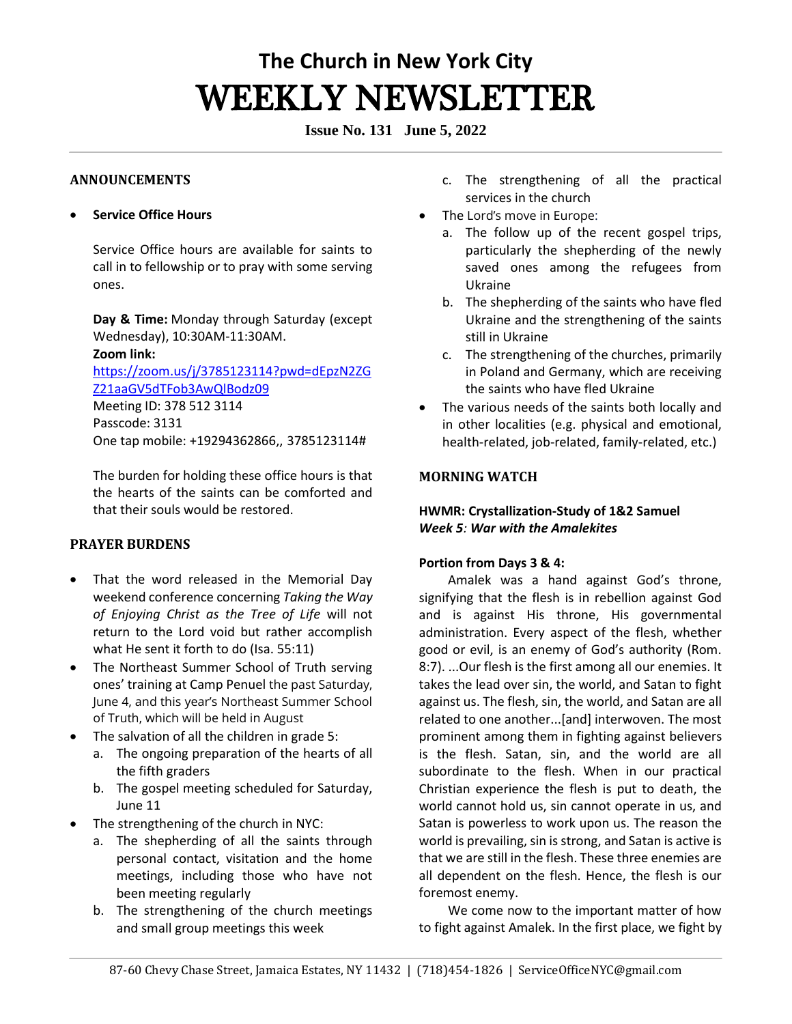# **The Church in New York City** WEEKLY NEWSLETTER

**Issue No. 131 June 5, 2022**

#### **ANNOUNCEMENTS**

#### • **Service Office Hours**

Service Office hours are available for saints to call in to fellowship or to pray with some serving ones. 

**Day & Time:** Monday through Saturday (except Wednesday), 10:30AM-11:30AM.   **Zoom link:**

[https://zoom.us/j/3785123114?pwd=dEpzN2ZG](https://zoom.us/j/3785123114?pwd=dEpzN2ZGZ21aaGV5dTFob3AwQlBodz09) [Z21aaGV5dTFob3AwQlBodz09](https://zoom.us/j/3785123114?pwd=dEpzN2ZGZ21aaGV5dTFob3AwQlBodz09) Meeting ID: 378 512 3114

Passcode: 3131 One tap mobile: +19294362866,, 3785123114#

The burden for holding these office hours is that the hearts of the saints can be comforted and that their souls would be restored. 

# **PRAYER BURDENS**

- That the word released in the Memorial Day weekend conference concerning *Taking the Way of Enjoying Christ as the Tree of Life* will not return to the Lord void but rather accomplish what He sent it forth to do (Isa. 55:11)
- The Northeast Summer School of Truth serving ones' training at Camp Penuel the past Saturday, June 4, and this year's Northeast Summer School of Truth, which will be held in August
- The salvation of all the children in grade 5:
	- a. The ongoing preparation of the hearts of all the fifth graders
	- b. The gospel meeting scheduled for Saturday, June 11
- The strengthening of the church in NYC:
	- a. The shepherding of all the saints through personal contact, visitation and the home meetings, including those who have not been meeting regularly
	- b. The strengthening of the church meetings and small group meetings this week
- c. The strengthening of all the practical services in the church
- The Lord's move in Europe:
	- a. The follow up of the recent gospel trips, particularly the shepherding of the newly saved ones among the refugees from Ukraine
	- b. The shepherding of the saints who have fled Ukraine and the strengthening of the saints still in Ukraine
	- c. The strengthening of the churches, primarily in Poland and Germany, which are receiving the saints who have fled Ukraine
- The various needs of the saints both locally and in other localities (e.g. physical and emotional, health-related, job-related, family-related, etc.)

# **MORNING WATCH**

# **HWMR: Crystallization-Study of 1&2 Samuel**  *Week 5: War with the Amalekites*

# **Portion from Days 3 & 4:**

Amalek was a hand against God's throne, signifying that the flesh is in rebellion against God and is against His throne, His governmental administration. Every aspect of the flesh, whether good or evil, is an enemy of God's authority (Rom. 8:7). ...Our flesh is the first among all our enemies. It takes the lead over sin, the world, and Satan to fight against us. The flesh, sin, the world, and Satan are all related to one another...[and] interwoven. The most prominent among them in fighting against believers is the flesh. Satan, sin, and the world are all subordinate to the flesh. When in our practical Christian experience the flesh is put to death, the world cannot hold us, sin cannot operate in us, and Satan is powerless to work upon us. The reason the world is prevailing, sin is strong, and Satan is active is that we are still in the flesh. These three enemies are all dependent on the flesh. Hence, the flesh is our foremost enemy.

We come now to the important matter of how to fight against Amalek. In the first place, we fight by